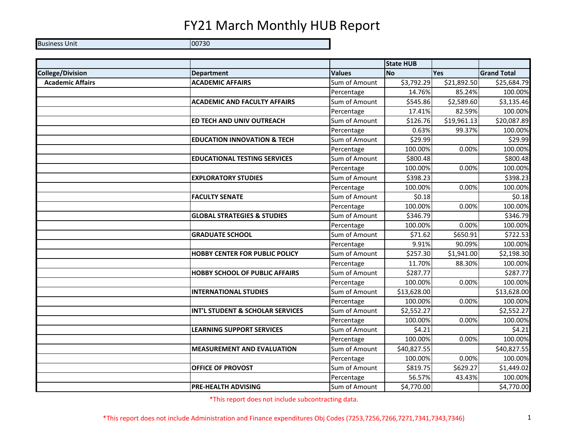Business Unit **District Contract Contract Contract Contract Contract Contract Contract Contract Contract Contract Contract Contract Contract Contract Contract Contract Contract Contract Contract Contract Contract Contract** 

|                         |                                        |               | <b>State HUB</b> |             |                    |
|-------------------------|----------------------------------------|---------------|------------------|-------------|--------------------|
| <b>College/Division</b> | <b>Department</b>                      | <b>Values</b> | <b>No</b>        | Yes         | <b>Grand Total</b> |
| <b>Academic Affairs</b> | <b>ACADEMIC AFFAIRS</b>                | Sum of Amount | \$3,792.29       | \$21,892.50 | \$25,684.79        |
|                         |                                        | Percentage    | 14.76%           | 85.24%      | 100.00%            |
|                         | <b>ACADEMIC AND FACULTY AFFAIRS</b>    | Sum of Amount | \$545.86         | \$2,589.60  | \$3,135.46         |
|                         |                                        | Percentage    | 17.41%           | 82.59%      | 100.00%            |
|                         | ED TECH AND UNIV OUTREACH              | Sum of Amount | \$126.76         | \$19,961.13 | \$20,087.89        |
|                         |                                        | Percentage    | 0.63%            | 99.37%      | 100.00%            |
|                         | <b>EDUCATION INNOVATION &amp; TECH</b> | Sum of Amount | \$29.99          |             | \$29.99            |
|                         |                                        | Percentage    | 100.00%          | 0.00%       | 100.00%            |
|                         | <b>EDUCATIONAL TESTING SERVICES</b>    | Sum of Amount | \$800.48         |             | \$800.48           |
|                         |                                        | Percentage    | 100.00%          | 0.00%       | 100.00%            |
|                         | <b>EXPLORATORY STUDIES</b>             | Sum of Amount | \$398.23         |             | \$398.23           |
|                         |                                        | Percentage    | 100.00%          | 0.00%       | 100.00%            |
|                         | <b>FACULTY SENATE</b>                  | Sum of Amount | \$0.18           |             | \$0.18             |
|                         |                                        | Percentage    | 100.00%          | 0.00%       | 100.00%            |
|                         | <b>GLOBAL STRATEGIES &amp; STUDIES</b> | Sum of Amount | \$346.79         |             | \$346.79           |
|                         |                                        | Percentage    | 100.00%          | 0.00%       | 100.00%            |
|                         | <b>GRADUATE SCHOOL</b>                 | Sum of Amount | \$71.62          | \$650.91    | \$722.53           |
|                         |                                        | Percentage    | 9.91%            | 90.09%      | 100.00%            |
|                         | <b>HOBBY CENTER FOR PUBLIC POLICY</b>  | Sum of Amount | \$257.30         | \$1,941.00  | \$2,198.30         |
|                         |                                        | Percentage    | 11.70%           | 88.30%      | 100.00%            |
|                         | <b>HOBBY SCHOOL OF PUBLIC AFFAIRS</b>  | Sum of Amount | \$287.77         |             | \$287.77           |
|                         |                                        | Percentage    | 100.00%          | 0.00%       | 100.00%            |
|                         | <b>INTERNATIONAL STUDIES</b>           | Sum of Amount | \$13,628.00      |             | \$13,628.00        |
|                         |                                        | Percentage    | 100.00%          | 0.00%       | 100.00%            |
|                         | INT'L STUDENT & SCHOLAR SERVICES       | Sum of Amount | \$2,552.27       |             | \$2,552.27         |
|                         |                                        | Percentage    | 100.00%          | 0.00%       | 100.00%            |
|                         | <b>LEARNING SUPPORT SERVICES</b>       | Sum of Amount | \$4.21           |             | \$4.21             |
|                         |                                        | Percentage    | 100.00%          | 0.00%       | 100.00%            |
|                         | <b>MEASUREMENT AND EVALUATION</b>      | Sum of Amount | \$40,827.55      |             | \$40,827.55        |
|                         |                                        | Percentage    | 100.00%          | 0.00%       | 100.00%            |
|                         | OFFICE OF PROVOST                      | Sum of Amount | \$819.75         | \$629.27    | \$1,449.02         |
|                         |                                        | Percentage    | 56.57%           | 43.43%      | 100.00%            |
|                         | <b>PRE-HEALTH ADVISING</b>             | Sum of Amount | \$4,770.00       |             | \$4,770.00         |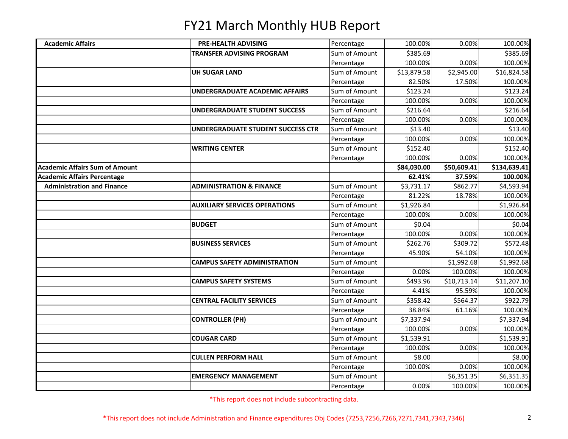| <b>Academic Affairs</b>               | PRE-HEALTH ADVISING                   | Percentage    | 100.00%     | 0.00%       | 100.00%      |
|---------------------------------------|---------------------------------------|---------------|-------------|-------------|--------------|
|                                       | TRANSFER ADVISING PROGRAM             | Sum of Amount | \$385.69    |             | \$385.69     |
|                                       |                                       | Percentage    | 100.00%     | 0.00%       | 100.00%      |
|                                       | <b>UH SUGAR LAND</b>                  | Sum of Amount | \$13,879.58 | \$2,945.00  | \$16,824.58  |
|                                       |                                       | Percentage    | 82.50%      | 17.50%      | 100.00%      |
|                                       | <b>UNDERGRADUATE ACADEMIC AFFAIRS</b> | Sum of Amount | \$123.24    |             | \$123.24     |
|                                       |                                       | Percentage    | 100.00%     | 0.00%       | 100.00%      |
|                                       | <b>UNDERGRADUATE STUDENT SUCCESS</b>  | Sum of Amount | \$216.64    |             | \$216.64     |
|                                       |                                       | Percentage    | 100.00%     | 0.00%       | 100.00%      |
|                                       | UNDERGRADUATE STUDENT SUCCESS CTR     | Sum of Amount | \$13.40     |             | \$13.40      |
|                                       |                                       | Percentage    | 100.00%     | 0.00%       | 100.00%      |
|                                       | <b>WRITING CENTER</b>                 | Sum of Amount | \$152.40    |             | \$152.40     |
|                                       |                                       | Percentage    | 100.00%     | 0.00%       | 100.00%      |
| <b>Academic Affairs Sum of Amount</b> |                                       |               | \$84,030.00 | \$50,609.41 | \$134,639.41 |
| <b>Academic Affairs Percentage</b>    |                                       |               | 62.41%      | 37.59%      | 100.00%      |
| <b>Administration and Finance</b>     | <b>ADMINISTRATION &amp; FINANCE</b>   | Sum of Amount | \$3,731.17  | \$862.77    | \$4,593.94   |
|                                       |                                       | Percentage    | 81.22%      | 18.78%      | 100.00%      |
|                                       | <b>AUXILIARY SERVICES OPERATIONS</b>  | Sum of Amount | \$1,926.84  |             | \$1,926.84   |
|                                       |                                       | Percentage    | 100.00%     | 0.00%       | 100.00%      |
|                                       | <b>BUDGET</b>                         | Sum of Amount | \$0.04      |             | \$0.04       |
|                                       |                                       | Percentage    | 100.00%     | 0.00%       | 100.00%      |
|                                       | <b>BUSINESS SERVICES</b>              | Sum of Amount | \$262.76    | \$309.72    | \$572.48     |
|                                       |                                       | Percentage    | 45.90%      | 54.10%      | 100.00%      |
|                                       | <b>CAMPUS SAFETY ADMINISTRATION</b>   | Sum of Amount |             | \$1,992.68  | \$1,992.68   |
|                                       |                                       | Percentage    | 0.00%       | 100.00%     | 100.00%      |
|                                       | <b>CAMPUS SAFETY SYSTEMS</b>          | Sum of Amount | \$493.96    | \$10,713.14 | \$11,207.10  |
|                                       |                                       | Percentage    | 4.41%       | 95.59%      | 100.00%      |
|                                       | <b>CENTRAL FACILITY SERVICES</b>      | Sum of Amount | \$358.42    | \$564.37    | \$922.79     |
|                                       |                                       | Percentage    | 38.84%      | 61.16%      | 100.00%      |
|                                       | <b>CONTROLLER (PH)</b>                | Sum of Amount | \$7,337.94  |             | \$7,337.94   |
|                                       |                                       | Percentage    | 100.00%     | 0.00%       | 100.00%      |
|                                       | <b>COUGAR CARD</b>                    | Sum of Amount | \$1,539.91  |             | \$1,539.91   |
|                                       |                                       | Percentage    | 100.00%     | 0.00%       | 100.00%      |
|                                       | <b>CULLEN PERFORM HALL</b>            | Sum of Amount | \$8.00      |             | \$8.00       |
|                                       |                                       | Percentage    | 100.00%     | 0.00%       | 100.00%      |
|                                       | <b>EMERGENCY MANAGEMENT</b>           | Sum of Amount |             | \$6,351.35  | \$6,351.35   |
|                                       |                                       | Percentage    | 0.00%       | 100.00%     | 100.00%      |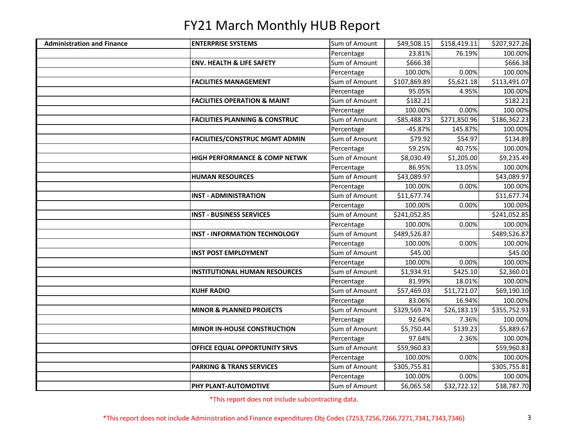| <b>Administration and Finance</b> | <b>ENTERPRISE SYSTEMS</b>                 | Sum of Amount | \$49,508.15   | \$158,419.11 | \$207,927.26 |
|-----------------------------------|-------------------------------------------|---------------|---------------|--------------|--------------|
|                                   |                                           | Percentage    | 23.81%        | 76.19%       | 100.00%      |
|                                   | <b>ENV. HEALTH &amp; LIFE SAFETY</b>      | Sum of Amount | \$666.38      |              | \$666.38     |
|                                   |                                           | Percentage    | 100.00%       | 0.00%        | 100.00%      |
|                                   | <b>FACILITIES MANAGEMENT</b>              | Sum of Amount | \$107,869.89  | \$5,621.18   | \$113,491.07 |
|                                   |                                           | Percentage    | 95.05%        | 4.95%        | 100.00%      |
|                                   | <b>FACILITIES OPERATION &amp; MAINT</b>   | Sum of Amount | \$182.21      |              | \$182.21     |
|                                   |                                           | Percentage    | 100.00%       | 0.00%        | 100.00%      |
|                                   | <b>FACILITIES PLANNING &amp; CONSTRUC</b> | Sum of Amount | $-$85,488.73$ | \$271,850.96 | \$186,362.23 |
|                                   |                                           | Percentage    | $-45.87%$     | 145.87%      | 100.00%      |
|                                   | <b>FACILITIES/CONSTRUC MGMT ADMIN</b>     | Sum of Amount | \$79.92       | \$54.97      | \$134.89     |
|                                   |                                           | Percentage    | 59.25%        | 40.75%       | 100.00%      |
|                                   | <b>HIGH PERFORMANCE &amp; COMP NETWK</b>  | Sum of Amount | \$8,030.49    | \$1,205.00   | \$9,235.49   |
|                                   |                                           | Percentage    | 86.95%        | 13.05%       | 100.00%      |
|                                   | <b>HUMAN RESOURCES</b>                    | Sum of Amount | \$43,089.97   |              | \$43,089.97  |
|                                   |                                           | Percentage    | 100.00%       | 0.00%        | 100.00%      |
|                                   | <b>INST - ADMINISTRATION</b>              | Sum of Amount | \$11,677.74   |              | \$11,677.74  |
|                                   |                                           | Percentage    | 100.00%       | 0.00%        | 100.00%      |
|                                   | <b>INST - BUSINESS SERVICES</b>           | Sum of Amount | \$241,052.85  |              | \$241,052.85 |
|                                   |                                           | Percentage    | 100.00%       | 0.00%        | 100.00%      |
|                                   | <b>INST - INFORMATION TECHNOLOGY</b>      | Sum of Amount | \$489,526.87  |              | \$489,526.87 |
|                                   |                                           | Percentage    | 100.00%       | 0.00%        | 100.00%      |
|                                   | <b>INST POST EMPLOYMENT</b>               | Sum of Amount | \$45.00       |              | \$45.00      |
|                                   |                                           | Percentage    | 100.00%       | 0.00%        | 100.00%      |
|                                   | <b>INSTITUTIONAL HUMAN RESOURCES</b>      | Sum of Amount | \$1,934.91    | \$425.10     | \$2,360.01   |
|                                   |                                           | Percentage    | 81.99%        | 18.01%       | 100.00%      |
|                                   | <b>KUHF RADIO</b>                         | Sum of Amount | \$57,469.03   | \$11,721.07  | \$69,190.10  |
|                                   |                                           | Percentage    | 83.06%        | 16.94%       | 100.00%      |
|                                   | <b>MINOR &amp; PLANNED PROJECTS</b>       | Sum of Amount | \$329,569.74  | \$26,183.19  | \$355,752.93 |
|                                   |                                           | Percentage    | 92.64%        | 7.36%        | 100.00%      |
|                                   | MINOR IN-HOUSE CONSTRUCTION               | Sum of Amount | \$5,750.44    | \$139.23     | \$5,889.67   |
|                                   |                                           | Percentage    | 97.64%        | 2.36%        | 100.00%      |
|                                   | OFFICE EQUAL OPPORTUNITY SRVS             | Sum of Amount | \$59,960.83   |              | \$59,960.83  |
|                                   |                                           | Percentage    | 100.00%       | 0.00%        | 100.00%      |
|                                   | <b>PARKING &amp; TRANS SERVICES</b>       | Sum of Amount | \$305,755.81  |              | \$305,755.81 |
|                                   |                                           | Percentage    | 100.00%       | 0.00%        | 100.00%      |
|                                   | PHY PLANT-AUTOMOTIVE                      | Sum of Amount | \$6,065.58    | \$32,722.12  | \$38,787.70  |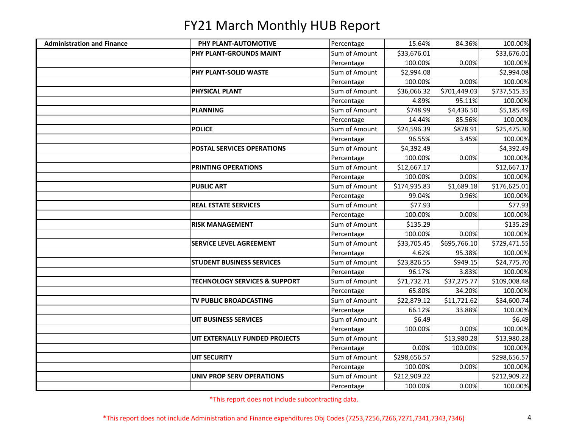| <b>Administration and Finance</b> | PHY PLANT-AUTOMOTIVE                     | Percentage    | 15.64%       | 84.36%       | 100.00%      |
|-----------------------------------|------------------------------------------|---------------|--------------|--------------|--------------|
|                                   | PHY PLANT-GROUNDS MAINT                  | Sum of Amount | \$33,676.01  |              | \$33,676.01  |
|                                   |                                          | Percentage    | 100.00%      | 0.00%        | 100.00%      |
|                                   | PHY PLANT-SOLID WASTE                    | Sum of Amount | \$2,994.08   |              | \$2,994.08   |
|                                   |                                          | Percentage    | 100.00%      | 0.00%        | 100.00%      |
|                                   | PHYSICAL PLANT                           | Sum of Amount | \$36,066.32  | \$701,449.03 | \$737,515.35 |
|                                   |                                          | Percentage    | 4.89%        | 95.11%       | 100.00%      |
|                                   | <b>PLANNING</b>                          | Sum of Amount | \$748.99     | \$4,436.50   | \$5,185.49   |
|                                   |                                          | Percentage    | 14.44%       | 85.56%       | 100.00%      |
|                                   | <b>POLICE</b>                            | Sum of Amount | \$24,596.39  | \$878.91     | \$25,475.30  |
|                                   |                                          | Percentage    | 96.55%       | 3.45%        | 100.00%      |
|                                   | <b>POSTAL SERVICES OPERATIONS</b>        | Sum of Amount | \$4,392.49   |              | \$4,392.49   |
|                                   |                                          | Percentage    | 100.00%      | 0.00%        | 100.00%      |
|                                   | <b>PRINTING OPERATIONS</b>               | Sum of Amount | \$12,667.17  |              | \$12,667.17  |
|                                   |                                          | Percentage    | 100.00%      | 0.00%        | 100.00%      |
|                                   | <b>PUBLIC ART</b>                        | Sum of Amount | \$174,935.83 | \$1,689.18   | \$176,625.01 |
|                                   |                                          | Percentage    | 99.04%       | 0.96%        | 100.00%      |
|                                   | <b>REAL ESTATE SERVICES</b>              | Sum of Amount | \$77.93      |              | \$77.93      |
|                                   |                                          | Percentage    | 100.00%      | 0.00%        | 100.00%      |
|                                   | <b>RISK MANAGEMENT</b>                   | Sum of Amount | \$135.29     |              | \$135.29     |
|                                   |                                          | Percentage    | 100.00%      | 0.00%        | 100.00%      |
|                                   | <b>SERVICE LEVEL AGREEMENT</b>           | Sum of Amount | \$33,705.45  | \$695,766.10 | \$729,471.55 |
|                                   |                                          | Percentage    | 4.62%        | 95.38%       | 100.00%      |
|                                   | <b>STUDENT BUSINESS SERVICES</b>         | Sum of Amount | \$23,826.55  | \$949.15     | \$24,775.70  |
|                                   |                                          | Percentage    | 96.17%       | 3.83%        | 100.00%      |
|                                   | <b>TECHNOLOGY SERVICES &amp; SUPPORT</b> | Sum of Amount | \$71,732.71  | \$37,275.77  | \$109,008.48 |
|                                   |                                          | Percentage    | 65.80%       | 34.20%       | 100.00%      |
|                                   | TV PUBLIC BROADCASTING                   | Sum of Amount | \$22,879.12  | \$11,721.62  | \$34,600.74  |
|                                   |                                          | Percentage    | 66.12%       | 33.88%       | 100.00%      |
|                                   | <b>UIT BUSINESS SERVICES</b>             | Sum of Amount | \$6.49       |              | \$6.49       |
|                                   |                                          | Percentage    | 100.00%      | 0.00%        | 100.00%      |
|                                   | UIT EXTERNALLY FUNDED PROJECTS           | Sum of Amount |              | \$13,980.28  | \$13,980.28  |
|                                   |                                          | Percentage    | 0.00%        | 100.00%      | 100.00%      |
|                                   | <b>UIT SECURITY</b>                      | Sum of Amount | \$298,656.57 |              | \$298,656.57 |
|                                   |                                          | Percentage    | 100.00%      | 0.00%        | 100.00%      |
|                                   | <b>UNIV PROP SERV OPERATIONS</b>         | Sum of Amount | \$212,909.22 |              | \$212,909.22 |
|                                   |                                          | Percentage    | 100.00%      | 0.00%        | 100.00%      |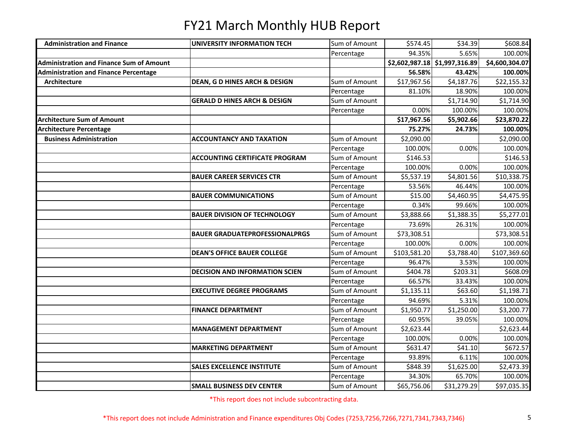| <b>Administration and Finance</b>               | UNIVERSITY INFORMATION TECH              | Sum of Amount | \$574.45     | \$34.39                       | \$608.84       |
|-------------------------------------------------|------------------------------------------|---------------|--------------|-------------------------------|----------------|
|                                                 |                                          | Percentage    | 94.35%       | 5.65%                         | 100.00%        |
| <b>Administration and Finance Sum of Amount</b> |                                          |               |              | \$2,602,987.18 \$1,997,316.89 | \$4,600,304.07 |
| <b>Administration and Finance Percentage</b>    |                                          |               | 56.58%       | 43.42%                        | 100.00%        |
| <b>Architecture</b>                             | <b>DEAN, G D HINES ARCH &amp; DESIGN</b> | Sum of Amount | \$17,967.56  | \$4,187.76                    | \$22,155.32    |
|                                                 |                                          | Percentage    | 81.10%       | 18.90%                        | 100.00%        |
|                                                 | <b>GERALD D HINES ARCH &amp; DESIGN</b>  | Sum of Amount |              | \$1,714.90                    | \$1,714.90     |
|                                                 |                                          | Percentage    | 0.00%        | 100.00%                       | 100.00%        |
| <b>Architecture Sum of Amount</b>               |                                          |               | \$17,967.56  | \$5,902.66                    | \$23,870.22    |
| <b>Architecture Percentage</b>                  |                                          |               | 75.27%       | 24.73%                        | 100.00%        |
| <b>Business Administration</b>                  | <b>ACCOUNTANCY AND TAXATION</b>          | Sum of Amount | \$2,090.00   |                               | \$2,090.00     |
|                                                 |                                          | Percentage    | 100.00%      | 0.00%                         | 100.00%        |
|                                                 | <b>ACCOUNTING CERTIFICATE PROGRAM</b>    | Sum of Amount | \$146.53     |                               | \$146.53       |
|                                                 |                                          | Percentage    | 100.00%      | 0.00%                         | 100.00%        |
|                                                 | <b>BAUER CAREER SERVICES CTR</b>         | Sum of Amount | \$5,537.19   | \$4,801.56                    | \$10,338.75    |
|                                                 |                                          | Percentage    | 53.56%       | 46.44%                        | 100.00%        |
|                                                 | <b>BAUER COMMUNICATIONS</b>              | Sum of Amount | \$15.00      | \$4,460.95                    | \$4,475.95     |
|                                                 |                                          | Percentage    | 0.34%        | 99.66%                        | 100.00%        |
|                                                 | <b>BAUER DIVISION OF TECHNOLOGY</b>      | Sum of Amount | \$3,888.66   | \$1,388.35                    | \$5,277.01     |
|                                                 |                                          | Percentage    | 73.69%       | 26.31%                        | 100.00%        |
|                                                 | <b>BAUER GRADUATEPROFESSIONALPRGS</b>    | Sum of Amount | \$73,308.51  |                               | \$73,308.51    |
|                                                 |                                          | Percentage    | 100.00%      | 0.00%                         | 100.00%        |
|                                                 | <b>DEAN'S OFFICE BAUER COLLEGE</b>       | Sum of Amount | \$103,581.20 | \$3,788.40                    | \$107,369.60   |
|                                                 |                                          | Percentage    | 96.47%       | 3.53%                         | 100.00%        |
|                                                 | <b>DECISION AND INFORMATION SCIEN</b>    | Sum of Amount | \$404.78     | \$203.31                      | \$608.09       |
|                                                 |                                          | Percentage    | 66.57%       | 33.43%                        | 100.00%        |
|                                                 | <b>EXECUTIVE DEGREE PROGRAMS</b>         | Sum of Amount | \$1,135.11   | \$63.60                       | \$1,198.71     |
|                                                 |                                          | Percentage    | 94.69%       | 5.31%                         | 100.00%        |
|                                                 | <b>FINANCE DEPARTMENT</b>                | Sum of Amount | \$1,950.77   | \$1,250.00                    | \$3,200.77     |
|                                                 |                                          | Percentage    | 60.95%       | 39.05%                        | 100.00%        |
|                                                 | <b>MANAGEMENT DEPARTMENT</b>             | Sum of Amount | \$2,623.44   |                               | \$2,623.44     |
|                                                 |                                          | Percentage    | 100.00%      | 0.00%                         | 100.00%        |
|                                                 | <b>MARKETING DEPARTMENT</b>              | Sum of Amount | \$631.47     | \$41.10                       | \$672.57       |
|                                                 |                                          | Percentage    | 93.89%       | 6.11%                         | 100.00%        |
|                                                 | <b>SALES EXCELLENCE INSTITUTE</b>        | Sum of Amount | \$848.39     | \$1,625.00                    | \$2,473.39     |
|                                                 |                                          | Percentage    | 34.30%       | 65.70%                        | 100.00%        |
|                                                 | <b>SMALL BUSINESS DEV CENTER</b>         | Sum of Amount | \$65,756.06  | \$31,279.29                   | \$97,035.35    |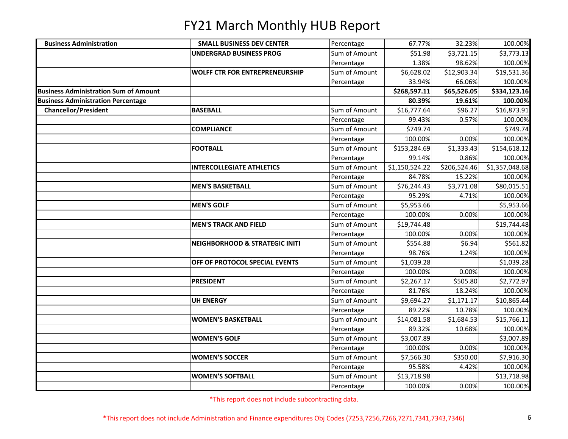| <b>Business Administration</b>               | <b>SMALL BUSINESS DEV CENTER</b>          | Percentage    | 67.77%         | 32.23%       | 100.00%        |
|----------------------------------------------|-------------------------------------------|---------------|----------------|--------------|----------------|
|                                              | UNDERGRAD BUSINESS PROG                   | Sum of Amount | \$51.98        | \$3,721.15   | \$3,773.13     |
|                                              |                                           | Percentage    | 1.38%          | 98.62%       | 100.00%        |
|                                              | <b>WOLFF CTR FOR ENTREPRENEURSHIP</b>     | Sum of Amount | \$6,628.02     | \$12,903.34  | \$19,531.36    |
|                                              |                                           | Percentage    | 33.94%         | 66.06%       | 100.00%        |
| <b>Business Administration Sum of Amount</b> |                                           |               | \$268,597.11   | \$65,526.05  | \$334,123.16   |
| <b>Business Administration Percentage</b>    |                                           |               | 80.39%         | 19.61%       | 100.00%        |
| <b>Chancellor/President</b>                  | <b>BASEBALL</b>                           | Sum of Amount | \$16,777.64    | \$96.27      | \$16,873.91    |
|                                              |                                           | Percentage    | 99.43%         | 0.57%        | 100.00%        |
|                                              | <b>COMPLIANCE</b>                         | Sum of Amount | \$749.74       |              | \$749.74       |
|                                              |                                           | Percentage    | 100.00%        | 0.00%        | 100.00%        |
|                                              | <b>FOOTBALL</b>                           | Sum of Amount | \$153,284.69   | \$1,333.43   | \$154,618.12   |
|                                              |                                           | Percentage    | 99.14%         | 0.86%        | 100.00%        |
|                                              | <b>INTERCOLLEGIATE ATHLETICS</b>          | Sum of Amount | \$1,150,524.22 | \$206,524.46 | \$1,357,048.68 |
|                                              |                                           | Percentage    | 84.78%         | 15.22%       | 100.00%        |
|                                              | <b>MEN'S BASKETBALL</b>                   | Sum of Amount | \$76,244.43    | \$3,771.08   | \$80,015.51    |
|                                              |                                           | Percentage    | 95.29%         | 4.71%        | 100.00%        |
|                                              | <b>MEN'S GOLF</b>                         | Sum of Amount | \$5,953.66     |              | \$5,953.66     |
|                                              |                                           | Percentage    | 100.00%        | 0.00%        | 100.00%        |
|                                              | <b>MEN'S TRACK AND FIELD</b>              | Sum of Amount | \$19,744.48    |              | \$19,744.48    |
|                                              |                                           | Percentage    | 100.00%        | 0.00%        | 100.00%        |
|                                              | <b>NEIGHBORHOOD &amp; STRATEGIC INITI</b> | Sum of Amount | \$554.88       | \$6.94       | \$561.82       |
|                                              |                                           | Percentage    | 98.76%         | 1.24%        | 100.00%        |
|                                              | OFF OF PROTOCOL SPECIAL EVENTS            | Sum of Amount | \$1,039.28     |              | \$1,039.28     |
|                                              |                                           | Percentage    | 100.00%        | 0.00%        | 100.00%        |
|                                              | <b>PRESIDENT</b>                          | Sum of Amount | \$2,267.17     | \$505.80     | \$2,772.97     |
|                                              |                                           | Percentage    | 81.76%         | 18.24%       | 100.00%        |
|                                              | <b>UH ENERGY</b>                          | Sum of Amount | \$9,694.27     | \$1,171.17   | \$10,865.44    |
|                                              |                                           | Percentage    | 89.22%         | 10.78%       | 100.00%        |
|                                              | <b>WOMEN'S BASKETBALL</b>                 | Sum of Amount | \$14,081.58    | \$1,684.53   | \$15,766.11    |
|                                              |                                           | Percentage    | 89.32%         | 10.68%       | 100.00%        |
|                                              | <b>WOMEN'S GOLF</b>                       | Sum of Amount | \$3,007.89     |              | \$3,007.89     |
|                                              |                                           | Percentage    | 100.00%        | 0.00%        | 100.00%        |
|                                              | <b>WOMEN'S SOCCER</b>                     | Sum of Amount | \$7,566.30     | \$350.00     | \$7,916.30     |
|                                              |                                           | Percentage    | 95.58%         | 4.42%        | 100.00%        |
|                                              | <b>WOMEN'S SOFTBALL</b>                   | Sum of Amount | \$13,718.98    |              | \$13,718.98    |
|                                              |                                           | Percentage    | 100.00%        | 0.00%        | 100.00%        |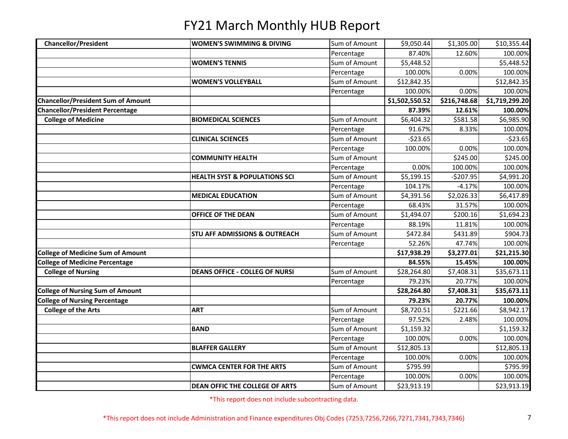| <b>Chancellor/President</b>               | <b>WOMEN'S SWIMMING &amp; DIVING</b>     | Sum of Amount | \$9,050.44     | \$1,305.00   | \$10,355.44    |
|-------------------------------------------|------------------------------------------|---------------|----------------|--------------|----------------|
|                                           |                                          | Percentage    | 87.40%         | 12.60%       | 100.00%        |
|                                           | <b>WOMEN'S TENNIS</b>                    | Sum of Amount | \$5,448.52     |              | \$5,448.52     |
|                                           |                                          | Percentage    | 100.00%        | 0.00%        | 100.00%        |
|                                           | <b>WOMEN'S VOLLEYBALL</b>                | Sum of Amount | \$12,842.35    |              | \$12,842.35    |
|                                           |                                          | Percentage    | 100.00%        | 0.00%        | 100.00%        |
| <b>Chancellor/President Sum of Amount</b> |                                          |               | \$1,502,550.52 | \$216,748.68 | \$1,719,299.20 |
| <b>Chancellor/President Percentage</b>    |                                          |               | 87.39%         | 12.61%       | 100.00%        |
| <b>College of Medicine</b>                | <b>BIOMEDICAL SCIENCES</b>               | Sum of Amount | \$6,404.32     | \$581.58     | \$6,985.90     |
|                                           |                                          | Percentage    | 91.67%         | 8.33%        | 100.00%        |
|                                           | <b>CLINICAL SCIENCES</b>                 | Sum of Amount | $-523.65$      |              | $-523.65$      |
|                                           |                                          | Percentage    | 100.00%        | 0.00%        | 100.00%        |
|                                           | <b>COMMUNITY HEALTH</b>                  | Sum of Amount |                | \$245.00     | \$245.00       |
|                                           |                                          | Percentage    | 0.00%          | 100.00%      | 100.00%        |
|                                           | <b>HEALTH SYST &amp; POPULATIONS SCI</b> | Sum of Amount | \$5,199.15     | $-5207.95$   | \$4,991.20     |
|                                           |                                          | Percentage    | 104.17%        | $-4.17%$     | 100.00%        |
|                                           | <b>MEDICAL EDUCATION</b>                 | Sum of Amount | \$4,391.56     | \$2,026.33   | \$6,417.89     |
|                                           |                                          | Percentage    | 68.43%         | 31.57%       | 100.00%        |
|                                           | <b>OFFICE OF THE DEAN</b>                | Sum of Amount | \$1,494.07     | \$200.16     | \$1,694.23     |
|                                           |                                          | Percentage    | 88.19%         | 11.81%       | 100.00%        |
|                                           | <b>STU AFF ADMISSIONS &amp; OUTREACH</b> | Sum of Amount | \$472.84       | \$431.89     | \$904.73       |
|                                           |                                          | Percentage    | 52.26%         | 47.74%       | 100.00%        |
| <b>College of Medicine Sum of Amount</b>  |                                          |               | \$17,938.29    | \$3,277.01   | \$21,215.30    |
| <b>College of Medicine Percentage</b>     |                                          |               | 84.55%         | 15.45%       | 100.00%        |
| <b>College of Nursing</b>                 | <b>DEANS OFFICE - COLLEG OF NURSI</b>    | Sum of Amount | \$28,264.80    | \$7,408.31   | \$35,673.11    |
|                                           |                                          | Percentage    | 79.23%         | 20.77%       | 100.00%        |
| <b>College of Nursing Sum of Amount</b>   |                                          |               | \$28,264.80    | \$7,408.31   | \$35,673.11    |
| <b>College of Nursing Percentage</b>      |                                          |               | 79.23%         | 20.77%       | 100.00%        |
| <b>College of the Arts</b>                | <b>ART</b>                               | Sum of Amount | \$8,720.51     | \$221.66     | \$8,942.17     |
|                                           |                                          | Percentage    | 97.52%         | 2.48%        | 100.00%        |
|                                           | <b>BAND</b>                              | Sum of Amount | \$1,159.32     |              | \$1,159.32     |
|                                           |                                          | Percentage    | 100.00%        | 0.00%        | 100.00%        |
|                                           | <b>BLAFFER GALLERY</b>                   | Sum of Amount | \$12,805.13    |              | \$12,805.13    |
|                                           |                                          | Percentage    | 100.00%        | 0.00%        | 100.00%        |
|                                           | <b>CWMCA CENTER FOR THE ARTS</b>         | Sum of Amount | \$795.99       |              | \$795.99       |
|                                           |                                          | Percentage    | 100.00%        | 0.00%        | 100.00%        |
|                                           | DEAN OFFIC THE COLLEGE OF ARTS           | Sum of Amount | \$23,913.19    |              | \$23,913.19    |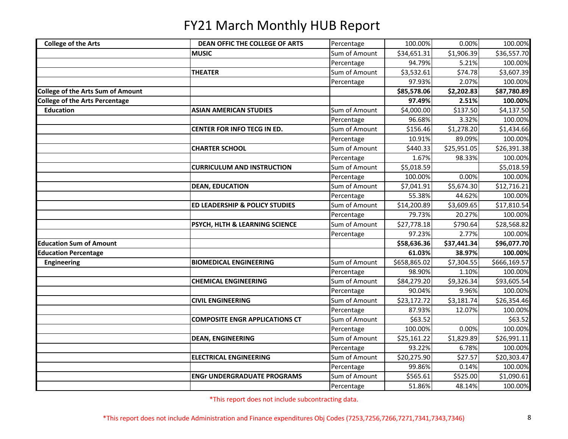| <b>College of the Arts</b>               | DEAN OFFIC THE COLLEGE OF ARTS            | Percentage    | 100.00%      | 0.00%       | 100.00%      |
|------------------------------------------|-------------------------------------------|---------------|--------------|-------------|--------------|
|                                          | <b>MUSIC</b>                              | Sum of Amount | \$34,651.31  | \$1,906.39  | \$36,557.70  |
|                                          |                                           | Percentage    | 94.79%       | 5.21%       | 100.00%      |
|                                          | <b>THEATER</b>                            | Sum of Amount | \$3,532.61   | \$74.78     | \$3,607.39   |
|                                          |                                           | Percentage    | 97.93%       | 2.07%       | 100.00%      |
| <b>College of the Arts Sum of Amount</b> |                                           |               | \$85,578.06  | \$2,202.83  | \$87,780.89  |
| <b>College of the Arts Percentage</b>    |                                           |               | 97.49%       | 2.51%       | 100.00%      |
| <b>Education</b>                         | <b>ASIAN AMERICAN STUDIES</b>             | Sum of Amount | \$4,000.00   | \$137.50    | \$4,137.50   |
|                                          |                                           | Percentage    | 96.68%       | 3.32%       | 100.00%      |
|                                          | CENTER FOR INFO TECG IN ED.               | Sum of Amount | \$156.46     | \$1,278.20  | \$1,434.66   |
|                                          |                                           | Percentage    | 10.91%       | 89.09%      | 100.00%      |
|                                          | <b>CHARTER SCHOOL</b>                     | Sum of Amount | \$440.33     | \$25,951.05 | \$26,391.38  |
|                                          |                                           | Percentage    | 1.67%        | 98.33%      | 100.00%      |
|                                          | <b>CURRICULUM AND INSTRUCTION</b>         | Sum of Amount | \$5,018.59   |             | \$5,018.59   |
|                                          |                                           | Percentage    | 100.00%      | 0.00%       | 100.00%      |
|                                          | <b>DEAN, EDUCATION</b>                    | Sum of Amount | \$7,041.91   | \$5,674.30  | \$12,716.21  |
|                                          |                                           | Percentage    | 55.38%       | 44.62%      | 100.00%      |
|                                          | <b>ED LEADERSHIP &amp; POLICY STUDIES</b> | Sum of Amount | \$14,200.89  | \$3,609.65  | \$17,810.54  |
|                                          |                                           | Percentage    | 79.73%       | 20.27%      | 100.00%      |
|                                          | PSYCH, HLTH & LEARNING SCIENCE            | Sum of Amount | \$27,778.18  | \$790.64    | \$28,568.82  |
|                                          |                                           | Percentage    | 97.23%       | 2.77%       | 100.00%      |
| <b>Education Sum of Amount</b>           |                                           |               | \$58,636.36  | \$37,441.34 | \$96,077.70  |
| <b>Education Percentage</b>              |                                           |               | 61.03%       | 38.97%      | 100.00%      |
| <b>Engineering</b>                       | <b>BIOMEDICAL ENGINEERING</b>             | Sum of Amount | \$658,865.02 | \$7,304.55  | \$666,169.57 |
|                                          |                                           | Percentage    | 98.90%       | 1.10%       | 100.00%      |
|                                          | <b>CHEMICAL ENGINEERING</b>               | Sum of Amount | \$84,279.20  | \$9,326.34  | \$93,605.54  |
|                                          |                                           | Percentage    | 90.04%       | 9.96%       | 100.00%      |
|                                          | <b>CIVIL ENGINEERING</b>                  | Sum of Amount | \$23,172.72  | \$3,181.74  | \$26,354.46  |
|                                          |                                           | Percentage    | 87.93%       | 12.07%      | 100.00%      |
|                                          | <b>COMPOSITE ENGR APPLICATIONS CT</b>     | Sum of Amount | \$63.52      |             | \$63.52      |
|                                          |                                           | Percentage    | 100.00%      | 0.00%       | 100.00%      |
|                                          | <b>DEAN, ENGINEERING</b>                  | Sum of Amount | \$25,161.22  | \$1,829.89  | \$26,991.11  |
|                                          |                                           | Percentage    | 93.22%       | 6.78%       | 100.00%      |
|                                          | <b>ELECTRICAL ENGINEERING</b>             | Sum of Amount | \$20,275.90  | \$27.57     | \$20,303.47  |
|                                          |                                           | Percentage    | 99.86%       | 0.14%       | 100.00%      |
|                                          | <b>ENGr UNDERGRADUATE PROGRAMS</b>        | Sum of Amount | \$565.61     | \$525.00    | \$1,090.61   |
|                                          |                                           | Percentage    | 51.86%       | 48.14%      | 100.00%      |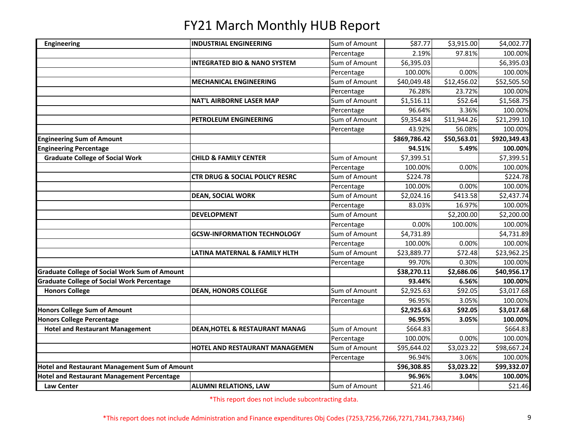| Engineering                                          | <b>INDUSTRIAL ENGINEERING</b>             | Sum of Amount | \$87.77      | \$3,915.00  | \$4,002.77   |
|------------------------------------------------------|-------------------------------------------|---------------|--------------|-------------|--------------|
|                                                      |                                           | Percentage    | 2.19%        | 97.81%      | 100.00%      |
|                                                      | <b>INTEGRATED BIO &amp; NANO SYSTEM</b>   | Sum of Amount | \$6,395.03   |             | \$6,395.03   |
|                                                      |                                           | Percentage    | 100.00%      | 0.00%       | 100.00%      |
|                                                      | <b>MECHANICAL ENGINEERING</b>             | Sum of Amount | \$40,049.48  | \$12,456.02 | \$52,505.50  |
|                                                      |                                           | Percentage    | 76.28%       | 23.72%      | 100.00%      |
|                                                      | <b>NAT'L AIRBORNE LASER MAP</b>           | Sum of Amount | \$1,516.11   | \$52.64     | \$1,568.75   |
|                                                      |                                           | Percentage    | 96.64%       | 3.36%       | 100.00%      |
|                                                      | PETROLEUM ENGINEERING                     | Sum of Amount | \$9,354.84   | \$11,944.26 | \$21,299.10  |
|                                                      |                                           | Percentage    | 43.92%       | 56.08%      | 100.00%      |
| <b>Engineering Sum of Amount</b>                     |                                           |               | \$869,786.42 | \$50,563.01 | \$920,349.43 |
| <b>Engineering Percentage</b>                        |                                           |               | 94.51%       | 5.49%       | 100.00%      |
| <b>Graduate College of Social Work</b>               | <b>CHILD &amp; FAMILY CENTER</b>          | Sum of Amount | \$7,399.51   |             | \$7,399.51   |
|                                                      |                                           | Percentage    | 100.00%      | 0.00%       | 100.00%      |
|                                                      | <b>CTR DRUG &amp; SOCIAL POLICY RESRC</b> | Sum of Amount | \$224.78     |             | \$224.78     |
|                                                      |                                           | Percentage    | 100.00%      | 0.00%       | 100.00%      |
|                                                      | <b>DEAN, SOCIAL WORK</b>                  | Sum of Amount | \$2,024.16   | \$413.58    | \$2,437.74   |
|                                                      |                                           | Percentage    | 83.03%       | 16.97%      | 100.00%      |
|                                                      | <b>DEVELOPMENT</b>                        | Sum of Amount |              | \$2,200.00  | \$2,200.00   |
|                                                      |                                           | Percentage    | 0.00%        | 100.00%     | 100.00%      |
|                                                      | <b>GCSW-INFORMATION TECHNOLOGY</b>        | Sum of Amount | \$4,731.89   |             | \$4,731.89   |
|                                                      |                                           | Percentage    | 100.00%      | 0.00%       | 100.00%      |
|                                                      | LATINA MATERNAL & FAMILY HLTH             | Sum of Amount | \$23,889.77  | \$72.48     | \$23,962.25  |
|                                                      |                                           | Percentage    | 99.70%       | 0.30%       | 100.00%      |
| <b>Graduate College of Social Work Sum of Amount</b> |                                           |               | \$38,270.11  | \$2,686.06  | \$40,956.17  |
| <b>Graduate College of Social Work Percentage</b>    |                                           |               | 93.44%       | 6.56%       | 100.00%      |
| <b>Honors College</b>                                | <b>DEAN, HONORS COLLEGE</b>               | Sum of Amount | \$2,925.63   | \$92.05     | \$3,017.68   |
|                                                      |                                           | Percentage    | 96.95%       | 3.05%       | 100.00%      |
| <b>Honors College Sum of Amount</b>                  |                                           |               | \$2,925.63   | \$92.05     | \$3,017.68   |
| <b>Honors College Percentage</b>                     |                                           |               | 96.95%       | 3.05%       | 100.00%      |
| <b>Hotel and Restaurant Management</b>               | <b>DEAN, HOTEL &amp; RESTAURANT MANAG</b> | Sum of Amount | \$664.83     |             | \$664.83     |
|                                                      |                                           | Percentage    | 100.00%      | 0.00%       | 100.00%      |
|                                                      | HOTEL AND RESTAURANT MANAGEMEN            | Sum of Amount | \$95,644.02  | \$3,023.22  | \$98,667.24  |
|                                                      |                                           | Percentage    | 96.94%       | 3.06%       | 100.00%      |
| <b>Hotel and Restaurant Management Sum of Amount</b> |                                           |               | \$96,308.85  | \$3,023.22  | \$99,332.07  |
| <b>Hotel and Restaurant Management Percentage</b>    |                                           |               | 96.96%       | 3.04%       | 100.00%      |
| <b>Law Center</b>                                    | <b>ALUMNI RELATIONS, LAW</b>              | Sum of Amount | \$21.46      |             | \$21.46      |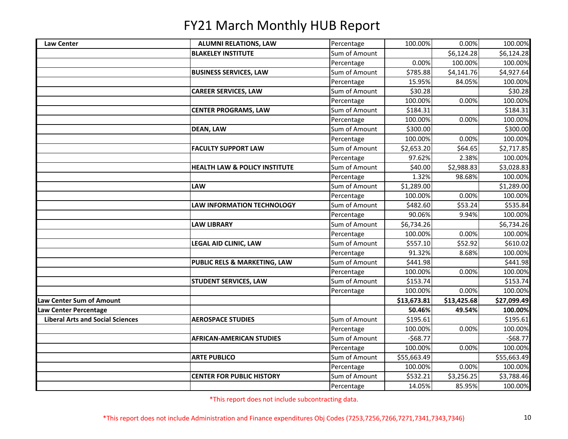| <b>Law Center</b>                       | <b>ALUMNI RELATIONS, LAW</b>             | Percentage    | 100.00%     | 0.00%       | 100.00%     |
|-----------------------------------------|------------------------------------------|---------------|-------------|-------------|-------------|
|                                         | <b>BLAKELEY INSTITUTE</b>                | Sum of Amount |             | \$6,124.28  | \$6,124.28  |
|                                         |                                          | Percentage    | 0.00%       | 100.00%     | 100.00%     |
|                                         | <b>BUSINESS SERVICES, LAW</b>            | Sum of Amount | \$785.88    | \$4,141.76  | \$4,927.64  |
|                                         |                                          | Percentage    | 15.95%      | 84.05%      | 100.00%     |
|                                         | <b>CAREER SERVICES, LAW</b>              | Sum of Amount | \$30.28     |             | \$30.28     |
|                                         |                                          | Percentage    | 100.00%     | 0.00%       | 100.00%     |
|                                         | <b>CENTER PROGRAMS, LAW</b>              | Sum of Amount | \$184.31    |             | \$184.31    |
|                                         |                                          | Percentage    | 100.00%     | 0.00%       | 100.00%     |
|                                         | <b>DEAN, LAW</b>                         | Sum of Amount | \$300.00    |             | \$300.00    |
|                                         |                                          | Percentage    | 100.00%     | 0.00%       | 100.00%     |
|                                         | <b>FACULTY SUPPORT LAW</b>               | Sum of Amount | \$2,653.20  | \$64.65     | \$2,717.85  |
|                                         |                                          | Percentage    | 97.62%      | 2.38%       | 100.00%     |
|                                         | <b>HEALTH LAW &amp; POLICY INSTITUTE</b> | Sum of Amount | \$40.00     | \$2,988.83  | \$3,028.83  |
|                                         |                                          | Percentage    | 1.32%       | 98.68%      | 100.00%     |
|                                         | LAW                                      | Sum of Amount | \$1,289.00  |             | \$1,289.00  |
|                                         |                                          | Percentage    | 100.00%     | 0.00%       | 100.00%     |
|                                         | <b>LAW INFORMATION TECHNOLOGY</b>        | Sum of Amount | \$482.60    | \$53.24     | \$535.84    |
|                                         |                                          | Percentage    | 90.06%      | 9.94%       | 100.00%     |
|                                         | <b>LAW LIBRARY</b>                       | Sum of Amount | \$6,734.26  |             | \$6,734.26  |
|                                         |                                          | Percentage    | 100.00%     | 0.00%       | 100.00%     |
|                                         | <b>LEGAL AID CLINIC, LAW</b>             | Sum of Amount | \$557.10    | \$52.92     | \$610.02    |
|                                         |                                          | Percentage    | 91.32%      | 8.68%       | 100.00%     |
|                                         | PUBLIC RELS & MARKETING, LAW             | Sum of Amount | \$441.98    |             | \$441.98    |
|                                         |                                          | Percentage    | 100.00%     | 0.00%       | 100.00%     |
|                                         | <b>STUDENT SERVICES, LAW</b>             | Sum of Amount | \$153.74    |             | \$153.74    |
|                                         |                                          | Percentage    | 100.00%     | 0.00%       | 100.00%     |
| <b>Law Center Sum of Amount</b>         |                                          |               | \$13,673.81 | \$13,425.68 | \$27,099.49 |
| Law Center Percentage                   |                                          |               | 50.46%      | 49.54%      | 100.00%     |
| <b>Liberal Arts and Social Sciences</b> | <b>AEROSPACE STUDIES</b>                 | Sum of Amount | \$195.61    |             | \$195.61    |
|                                         |                                          | Percentage    | 100.00%     | 0.00%       | 100.00%     |
|                                         | <b>AFRICAN-AMERICAN STUDIES</b>          | Sum of Amount | $-568.77$   |             | $-568.77$   |
|                                         |                                          | Percentage    | 100.00%     | 0.00%       | 100.00%     |
|                                         | <b>ARTE PUBLICO</b>                      | Sum of Amount | \$55,663.49 |             | \$55,663.49 |
|                                         |                                          | Percentage    | 100.00%     | 0.00%       | 100.00%     |
|                                         | <b>CENTER FOR PUBLIC HISTORY</b>         | Sum of Amount | \$532.21    | \$3,256.25  | \$3,788.46  |
|                                         |                                          | Percentage    | 14.05%      | 85.95%      | 100.00%     |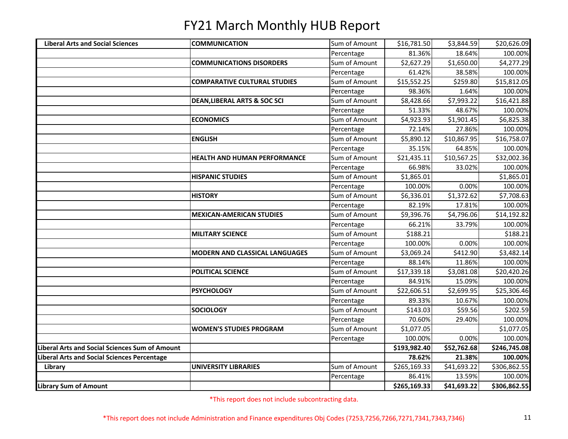| <b>Liberal Arts and Social Sciences</b>               | <b>COMMUNICATION</b>                    | Sum of Amount | \$16,781.50  | \$3,844.59  | \$20,626.09  |
|-------------------------------------------------------|-----------------------------------------|---------------|--------------|-------------|--------------|
|                                                       |                                         | Percentage    | 81.36%       | 18.64%      | 100.00%      |
|                                                       | <b>COMMUNICATIONS DISORDERS</b>         | Sum of Amount | \$2,627.29   | \$1,650.00  | \$4,277.29   |
|                                                       |                                         | Percentage    | 61.42%       | 38.58%      | 100.00%      |
|                                                       | <b>COMPARATIVE CULTURAL STUDIES</b>     | Sum of Amount | \$15,552.25  | \$259.80    | \$15,812.05  |
|                                                       |                                         | Percentage    | 98.36%       | 1.64%       | 100.00%      |
|                                                       | <b>DEAN, LIBERAL ARTS &amp; SOC SCI</b> | Sum of Amount | \$8,428.66   | \$7,993.22  | \$16,421.88  |
|                                                       |                                         | Percentage    | 51.33%       | 48.67%      | 100.00%      |
|                                                       | <b>ECONOMICS</b>                        | Sum of Amount | \$4,923.93   | \$1,901.45  | \$6,825.38   |
|                                                       |                                         | Percentage    | 72.14%       | 27.86%      | 100.00%      |
|                                                       | <b>ENGLISH</b>                          | Sum of Amount | \$5,890.12   | \$10,867.95 | \$16,758.07  |
|                                                       |                                         | Percentage    | 35.15%       | 64.85%      | 100.00%      |
|                                                       | <b>HEALTH AND HUMAN PERFORMANCE</b>     | Sum of Amount | \$21,435.11  | \$10,567.25 | \$32,002.36  |
|                                                       |                                         | Percentage    | 66.98%       | 33.02%      | 100.00%      |
|                                                       | <b>HISPANIC STUDIES</b>                 | Sum of Amount | \$1,865.01   |             | \$1,865.01   |
|                                                       |                                         | Percentage    | 100.00%      | 0.00%       | 100.00%      |
|                                                       | <b>HISTORY</b>                          | Sum of Amount | \$6,336.01   | \$1,372.62  | \$7,708.63   |
|                                                       |                                         | Percentage    | 82.19%       | 17.81%      | 100.00%      |
|                                                       | <b>MEXICAN-AMERICAN STUDIES</b>         | Sum of Amount | \$9,396.76   | \$4,796.06  | \$14,192.82  |
|                                                       |                                         | Percentage    | 66.21%       | 33.79%      | 100.00%      |
|                                                       | <b>MILITARY SCIENCE</b>                 | Sum of Amount | \$188.21     |             | \$188.21     |
|                                                       |                                         | Percentage    | 100.00%      | 0.00%       | 100.00%      |
|                                                       | <b>MODERN AND CLASSICAL LANGUAGES</b>   | Sum of Amount | \$3,069.24   | \$412.90    | \$3,482.14   |
|                                                       |                                         | Percentage    | 88.14%       | 11.86%      | 100.00%      |
|                                                       | POLITICAL SCIENCE                       | Sum of Amount | \$17,339.18  | \$3,081.08  | \$20,420.26  |
|                                                       |                                         | Percentage    | 84.91%       | 15.09%      | 100.00%      |
|                                                       | <b>PSYCHOLOGY</b>                       | Sum of Amount | \$22,606.51  | \$2,699.95  | \$25,306.46  |
|                                                       |                                         | Percentage    | 89.33%       | 10.67%      | 100.00%      |
|                                                       | <b>SOCIOLOGY</b>                        | Sum of Amount | \$143.03     | \$59.56     | \$202.59     |
|                                                       |                                         | Percentage    | 70.60%       | 29.40%      | 100.00%      |
|                                                       | <b>WOMEN'S STUDIES PROGRAM</b>          | Sum of Amount | \$1,077.05   |             | \$1,077.05   |
|                                                       |                                         | Percentage    | 100.00%      | 0.00%       | 100.00%      |
| <b>Liberal Arts and Social Sciences Sum of Amount</b> |                                         |               | \$193,982.40 | \$52,762.68 | \$246,745.08 |
| Liberal Arts and Social Sciences Percentage           |                                         |               | 78.62%       | 21.38%      | 100.00%      |
| Library                                               | <b>UNIVERSITY LIBRARIES</b>             | Sum of Amount | \$265,169.33 | \$41,693.22 | \$306,862.55 |
|                                                       |                                         | Percentage    | 86.41%       | 13.59%      | 100.00%      |
| <b>Library Sum of Amount</b>                          |                                         |               | \$265,169.33 | \$41,693.22 | \$306,862.55 |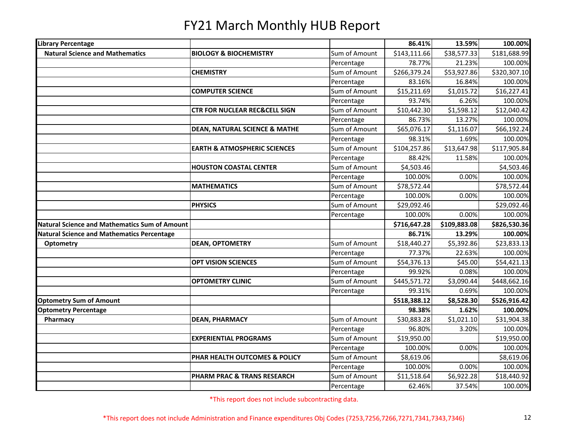|                                                   |                                          |               |                         | 13.59%       |              |
|---------------------------------------------------|------------------------------------------|---------------|-------------------------|--------------|--------------|
| Library Percentage                                |                                          |               | 86.41%                  |              | 100.00%      |
| <b>Natural Science and Mathematics</b>            | <b>BIOLOGY &amp; BIOCHEMISTRY</b>        | Sum of Amount | \$143,111.66            | \$38,577.33  | \$181,688.99 |
|                                                   |                                          | Percentage    | 78.77%                  | 21.23%       | 100.00%      |
|                                                   | <b>CHEMISTRY</b>                         | Sum of Amount | \$266,379.24            | \$53,927.86  | \$320,307.10 |
|                                                   |                                          | Percentage    | 83.16%                  | 16.84%       | 100.00%      |
|                                                   | <b>COMPUTER SCIENCE</b>                  | Sum of Amount | $\overline{$}15,211.69$ | \$1,015.72   | \$16,227.41  |
|                                                   |                                          | Percentage    | 93.74%                  | 6.26%        | 100.00%      |
|                                                   | <b>CTR FOR NUCLEAR REC&amp;CELL SIGN</b> | Sum of Amount | \$10,442.30             | \$1,598.12   | \$12,040.42  |
|                                                   |                                          | Percentage    | 86.73%                  | 13.27%       | 100.00%      |
|                                                   | <b>DEAN, NATURAL SCIENCE &amp; MATHE</b> | Sum of Amount | \$65,076.17             | \$1,116.07   | \$66,192.24  |
|                                                   |                                          | Percentage    | 98.31%                  | 1.69%        | 100.00%      |
|                                                   | <b>EARTH &amp; ATMOSPHERIC SCIENCES</b>  | Sum of Amount | \$104,257.86            | \$13,647.98  | \$117,905.84 |
|                                                   |                                          | Percentage    | 88.42%                  | 11.58%       | 100.00%      |
|                                                   | <b>HOUSTON COASTAL CENTER</b>            | Sum of Amount | \$4,503.46              |              | \$4,503.46   |
|                                                   |                                          | Percentage    | 100.00%                 | 0.00%        | 100.00%      |
|                                                   | <b>MATHEMATICS</b>                       | Sum of Amount | \$78,572.44             |              | \$78,572.44  |
|                                                   |                                          | Percentage    | 100.00%                 | 0.00%        | 100.00%      |
|                                                   | <b>PHYSICS</b>                           | Sum of Amount | \$29,092.46             |              | \$29,092.46  |
|                                                   |                                          | Percentage    | 100.00%                 | 0.00%        | 100.00%      |
| Natural Science and Mathematics Sum of Amount     |                                          |               | \$716,647.28            | \$109,883.08 | \$826,530.36 |
| <b>Natural Science and Mathematics Percentage</b> |                                          |               | 86.71%                  | 13.29%       | 100.00%      |
| <b>Optometry</b>                                  | <b>DEAN, OPTOMETRY</b>                   | Sum of Amount | \$18,440.27             | \$5,392.86   | \$23,833.13  |
|                                                   |                                          | Percentage    | 77.37%                  | 22.63%       | 100.00%      |
|                                                   | <b>OPT VISION SCIENCES</b>               | Sum of Amount | \$54,376.13             | \$45.00      | \$54,421.13  |
|                                                   |                                          | Percentage    | 99.92%                  | 0.08%        | 100.00%      |
|                                                   | <b>OPTOMETRY CLINIC</b>                  | Sum of Amount | \$445,571.72            | \$3,090.44   | \$448,662.16 |
|                                                   |                                          | Percentage    | 99.31%                  | 0.69%        | 100.00%      |
| <b>Optometry Sum of Amount</b>                    |                                          |               | \$518,388.12            | \$8,528.30   | \$526,916.42 |
| <b>Optometry Percentage</b>                       |                                          |               | 98.38%                  | 1.62%        | 100.00%      |
| Pharmacy                                          | <b>DEAN, PHARMACY</b>                    | Sum of Amount | \$30,883.28             | \$1,021.10   | \$31,904.38  |
|                                                   |                                          | Percentage    | 96.80%                  | 3.20%        | 100.00%      |
|                                                   | <b>EXPERIENTIAL PROGRAMS</b>             | Sum of Amount | \$19,950.00             |              | \$19,950.00  |
|                                                   |                                          | Percentage    | 100.00%                 | 0.00%        | 100.00%      |
|                                                   | PHAR HEALTH OUTCOMES & POLICY            | Sum of Amount | \$8,619.06              |              | \$8,619.06   |
|                                                   |                                          | Percentage    | 100.00%                 | 0.00%        | 100.00%      |
|                                                   | PHARM PRAC & TRANS RESEARCH              | Sum of Amount | \$11,518.64             | \$6,922.28   | \$18,440.92  |
|                                                   |                                          | Percentage    | 62.46%                  | 37.54%       | 100.00%      |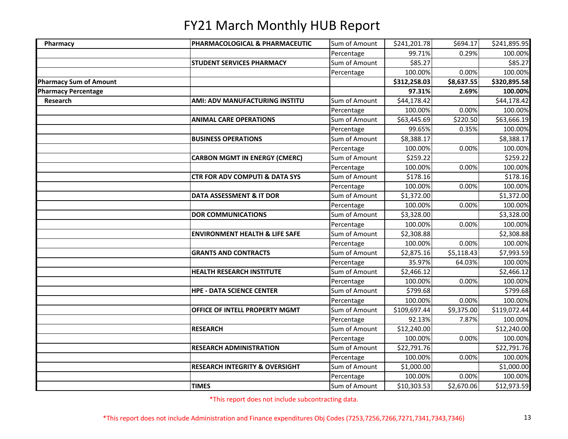| Pharmacy                      | PHARMACOLOGICAL & PHARMACEUTIC            | Sum of Amount | \$241,201.78 | \$694.17   | \$241,895.95 |
|-------------------------------|-------------------------------------------|---------------|--------------|------------|--------------|
|                               |                                           | Percentage    | 99.71%       | 0.29%      | 100.00%      |
|                               | <b>STUDENT SERVICES PHARMACY</b>          | Sum of Amount | \$85.27      |            | \$85.27      |
|                               |                                           | Percentage    | 100.00%      | 0.00%      | 100.00%      |
| <b>Pharmacy Sum of Amount</b> |                                           |               | \$312,258.03 | \$8,637.55 | \$320,895.58 |
| <b>Pharmacy Percentage</b>    |                                           |               | 97.31%       | 2.69%      | 100.00%      |
| Research                      | AMI: ADV MANUFACTURING INSTITU            | Sum of Amount | \$44,178.42  |            | \$44,178.42  |
|                               |                                           | Percentage    | 100.00%      | 0.00%      | 100.00%      |
|                               | <b>ANIMAL CARE OPERATIONS</b>             | Sum of Amount | \$63,445.69  | \$220.50   | \$63,666.19  |
|                               |                                           | Percentage    | 99.65%       | 0.35%      | 100.00%      |
|                               | <b>BUSINESS OPERATIONS</b>                | Sum of Amount | \$8,388.17   |            | \$8,388.17   |
|                               |                                           | Percentage    | 100.00%      | 0.00%      | 100.00%      |
|                               | <b>CARBON MGMT IN ENERGY (CMERC)</b>      | Sum of Amount | \$259.22     |            | \$259.22     |
|                               |                                           | Percentage    | 100.00%      | 0.00%      | 100.00%      |
|                               | <b>CTR FOR ADV COMPUTI &amp; DATA SYS</b> | Sum of Amount | \$178.16     |            | \$178.16     |
|                               |                                           | Percentage    | 100.00%      | 0.00%      | 100.00%      |
|                               | DATA ASSESSMENT & IT DOR                  | Sum of Amount | \$1,372.00   |            | \$1,372.00   |
|                               |                                           | Percentage    | 100.00%      | 0.00%      | 100.00%      |
|                               | <b>DOR COMMUNICATIONS</b>                 | Sum of Amount | \$3,328.00   |            | \$3,328.00   |
|                               |                                           | Percentage    | 100.00%      | 0.00%      | 100.00%      |
|                               | <b>ENVIRONMENT HEALTH &amp; LIFE SAFE</b> | Sum of Amount | \$2,308.88   |            | \$2,308.88   |
|                               |                                           | Percentage    | 100.00%      | 0.00%      | 100.00%      |
|                               | <b>GRANTS AND CONTRACTS</b>               | Sum of Amount | \$2,875.16   | \$5,118.43 | \$7,993.59   |
|                               |                                           | Percentage    | 35.97%       | 64.03%     | 100.00%      |
|                               | <b>HEALTH RESEARCH INSTITUTE</b>          | Sum of Amount | \$2,466.12   |            | \$2,466.12   |
|                               |                                           | Percentage    | 100.00%      | 0.00%      | 100.00%      |
|                               | <b>HPE - DATA SCIENCE CENTER</b>          | Sum of Amount | \$799.68     |            | \$799.68     |
|                               |                                           | Percentage    | 100.00%      | 0.00%      | 100.00%      |
|                               | OFFICE OF INTELL PROPERTY MGMT            | Sum of Amount | \$109,697.44 | \$9,375.00 | \$119,072.44 |
|                               |                                           | Percentage    | 92.13%       | 7.87%      | 100.00%      |
|                               | <b>RESEARCH</b>                           | Sum of Amount | \$12,240.00  |            | \$12,240.00  |
|                               |                                           | Percentage    | 100.00%      | 0.00%      | 100.00%      |
|                               | <b>RESEARCH ADMINISTRATION</b>            | Sum of Amount | \$22,791.76  |            | \$22,791.76  |
|                               |                                           | Percentage    | 100.00%      | 0.00%      | 100.00%      |
|                               | <b>RESEARCH INTEGRITY &amp; OVERSIGHT</b> | Sum of Amount | \$1,000.00   |            | \$1,000.00   |
|                               |                                           | Percentage    | 100.00%      | 0.00%      | 100.00%      |
|                               | <b>TIMES</b>                              | Sum of Amount | \$10,303.53  | \$2,670.06 | \$12,973.59  |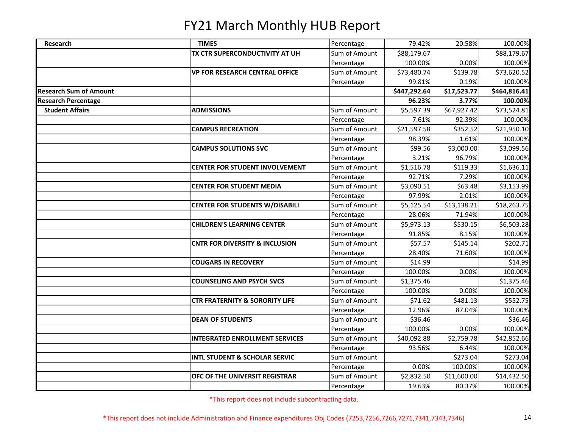| Research                      | <b>TIMES</b>                              | Percentage    | 79.42%       | 20.58%      | 100.00%      |
|-------------------------------|-------------------------------------------|---------------|--------------|-------------|--------------|
|                               | TX CTR SUPERCONDUCTIVITY AT UH            | Sum of Amount | \$88,179.67  |             | \$88,179.67  |
|                               |                                           | Percentage    | 100.00%      | 0.00%       | 100.00%      |
|                               | <b>VP FOR RESEARCH CENTRAL OFFICE</b>     | Sum of Amount | \$73,480.74  | \$139.78    | \$73,620.52  |
|                               |                                           | Percentage    | 99.81%       | 0.19%       | 100.00%      |
| <b>Research Sum of Amount</b> |                                           |               | \$447,292.64 | \$17,523.77 | \$464,816.41 |
| <b>Research Percentage</b>    |                                           |               | 96.23%       | 3.77%       | 100.00%      |
| <b>Student Affairs</b>        | <b>ADMISSIONS</b>                         | Sum of Amount | \$5,597.39   | \$67,927.42 | \$73,524.81  |
|                               |                                           | Percentage    | 7.61%        | 92.39%      | 100.00%      |
|                               | <b>CAMPUS RECREATION</b>                  | Sum of Amount | \$21,597.58  | \$352.52    | \$21,950.10  |
|                               |                                           | Percentage    | 98.39%       | 1.61%       | 100.00%      |
|                               | <b>CAMPUS SOLUTIONS SVC</b>               | Sum of Amount | \$99.56      | \$3,000.00  | \$3,099.56   |
|                               |                                           | Percentage    | 3.21%        | 96.79%      | 100.00%      |
|                               | <b>CENTER FOR STUDENT INVOLVEMENT</b>     | Sum of Amount | \$1,516.78   | \$119.33    | \$1,636.11   |
|                               |                                           | Percentage    | 92.71%       | 7.29%       | 100.00%      |
|                               | <b>CENTER FOR STUDENT MEDIA</b>           | Sum of Amount | \$3,090.51   | \$63.48     | \$3,153.99   |
|                               |                                           | Percentage    | 97.99%       | 2.01%       | 100.00%      |
|                               | <b>CENTER FOR STUDENTS W/DISABILI</b>     | Sum of Amount | \$5,125.54   | \$13,138.21 | \$18,263.75  |
|                               |                                           | Percentage    | 28.06%       | 71.94%      | 100.00%      |
|                               | <b>CHILDREN'S LEARNING CENTER</b>         | Sum of Amount | \$5,973.13   | \$530.15    | \$6,503.28   |
|                               |                                           | Percentage    | 91.85%       | 8.15%       | 100.00%      |
|                               | <b>CNTR FOR DIVERSITY &amp; INCLUSION</b> | Sum of Amount | \$57.57      | \$145.14    | \$202.71     |
|                               |                                           | Percentage    | 28.40%       | 71.60%      | 100.00%      |
|                               | <b>COUGARS IN RECOVERY</b>                | Sum of Amount | \$14.99      |             | \$14.99      |
|                               |                                           | Percentage    | 100.00%      | 0.00%       | 100.00%      |
|                               | <b>COUNSELING AND PSYCH SVCS</b>          | Sum of Amount | \$1,375.46   |             | \$1,375.46   |
|                               |                                           | Percentage    | 100.00%      | 0.00%       | 100.00%      |
|                               | <b>CTR FRATERNITY &amp; SORORITY LIFE</b> | Sum of Amount | \$71.62      | \$481.13    | \$552.75     |
|                               |                                           | Percentage    | 12.96%       | 87.04%      | 100.00%      |
|                               | <b>DEAN OF STUDENTS</b>                   | Sum of Amount | \$36.46      |             | \$36.46      |
|                               |                                           | Percentage    | 100.00%      | 0.00%       | 100.00%      |
|                               | <b>INTEGRATED ENROLLMENT SERVICES</b>     | Sum of Amount | \$40,092.88  | \$2,759.78  | \$42,852.66  |
|                               |                                           | Percentage    | 93.56%       | 6.44%       | 100.00%      |
|                               | <b>INTL STUDENT &amp; SCHOLAR SERVIC</b>  | Sum of Amount |              | \$273.04    | \$273.04     |
|                               |                                           | Percentage    | 0.00%        | 100.00%     | 100.00%      |
|                               | OFC OF THE UNIVERSIT REGISTRAR            | Sum of Amount | \$2,832.50   | \$11,600.00 | \$14,432.50  |
|                               |                                           | Percentage    | 19.63%       | 80.37%      | 100.00%      |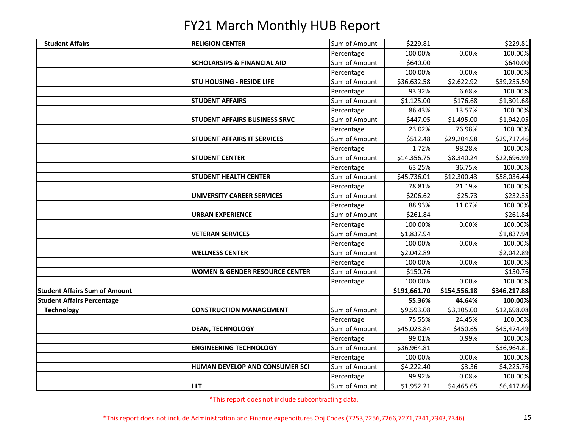| <b>Student Affairs</b>               | <b>RELIGION CENTER</b>                    | Sum of Amount | \$229.81     |              | \$229.81     |
|--------------------------------------|-------------------------------------------|---------------|--------------|--------------|--------------|
|                                      |                                           | Percentage    | 100.00%      | 0.00%        | 100.00%      |
|                                      | <b>SCHOLARSIPS &amp; FINANCIAL AID</b>    | Sum of Amount | \$640.00     |              | \$640.00     |
|                                      |                                           | Percentage    | 100.00%      | 0.00%        | 100.00%      |
|                                      | <b>STU HOUSING - RESIDE LIFE</b>          | Sum of Amount | \$36,632.58  | \$2,622.92   | \$39,255.50  |
|                                      |                                           | Percentage    | 93.32%       | 6.68%        | 100.00%      |
|                                      | <b>STUDENT AFFAIRS</b>                    | Sum of Amount | \$1,125.00   | \$176.68     | \$1,301.68   |
|                                      |                                           | Percentage    | 86.43%       | 13.57%       | 100.00%      |
|                                      | <b>STUDENT AFFAIRS BUSINESS SRVC</b>      | Sum of Amount | \$447.05     | \$1,495.00   | \$1,942.05   |
|                                      |                                           | Percentage    | 23.02%       | 76.98%       | 100.00%      |
|                                      | <b>STUDENT AFFAIRS IT SERVICES</b>        | Sum of Amount | \$512.48     | \$29,204.98  | \$29,717.46  |
|                                      |                                           | Percentage    | 1.72%        | 98.28%       | 100.00%      |
|                                      | <b>STUDENT CENTER</b>                     | Sum of Amount | \$14,356.75  | \$8,340.24   | \$22,696.99  |
|                                      |                                           | Percentage    | 63.25%       | 36.75%       | 100.00%      |
|                                      | <b>STUDENT HEALTH CENTER</b>              | Sum of Amount | \$45,736.01  | \$12,300.43  | \$58,036.44  |
|                                      |                                           | Percentage    | 78.81%       | 21.19%       | 100.00%      |
|                                      | <b>UNIVERSITY CAREER SERVICES</b>         | Sum of Amount | \$206.62     | \$25.73      | \$232.35     |
|                                      |                                           | Percentage    | 88.93%       | 11.07%       | 100.00%      |
|                                      | <b>URBAN EXPERIENCE</b>                   | Sum of Amount | \$261.84     |              | \$261.84     |
|                                      |                                           | Percentage    | 100.00%      | 0.00%        | 100.00%      |
|                                      | <b>VETERAN SERVICES</b>                   | Sum of Amount | \$1,837.94   |              | \$1,837.94   |
|                                      |                                           | Percentage    | 100.00%      | 0.00%        | 100.00%      |
|                                      | <b>WELLNESS CENTER</b>                    | Sum of Amount | \$2,042.89   |              | \$2,042.89   |
|                                      |                                           | Percentage    | 100.00%      | 0.00%        | 100.00%      |
|                                      | <b>WOMEN &amp; GENDER RESOURCE CENTER</b> | Sum of Amount | \$150.76     |              | \$150.76     |
|                                      |                                           | Percentage    | 100.00%      | 0.00%        | 100.00%      |
| <b>Student Affairs Sum of Amount</b> |                                           |               | \$191,661.70 | \$154,556.18 | \$346,217.88 |
| <b>Student Affairs Percentage</b>    |                                           |               | 55.36%       | 44.64%       | 100.00%      |
| <b>Technology</b>                    | <b>CONSTRUCTION MANAGEMENT</b>            | Sum of Amount | \$9,593.08   | \$3,105.00   | \$12,698.08  |
|                                      |                                           | Percentage    | 75.55%       | 24.45%       | 100.00%      |
|                                      | <b>DEAN, TECHNOLOGY</b>                   | Sum of Amount | \$45,023.84  | \$450.65     | \$45,474.49  |
|                                      |                                           | Percentage    | 99.01%       | 0.99%        | 100.00%      |
|                                      | <b>ENGINEERING TECHNOLOGY</b>             | Sum of Amount | \$36,964.81  |              | \$36,964.81  |
|                                      |                                           | Percentage    | 100.00%      | 0.00%        | 100.00%      |
|                                      | HUMAN DEVELOP AND CONSUMER SCI            | Sum of Amount | \$4,222.40   | \$3.36       | \$4,225.76   |
|                                      |                                           | Percentage    | 99.92%       | 0.08%        | 100.00%      |
|                                      | <b>ILT</b>                                | Sum of Amount | \$1,952.21   | \$4,465.65   | \$6,417.86   |